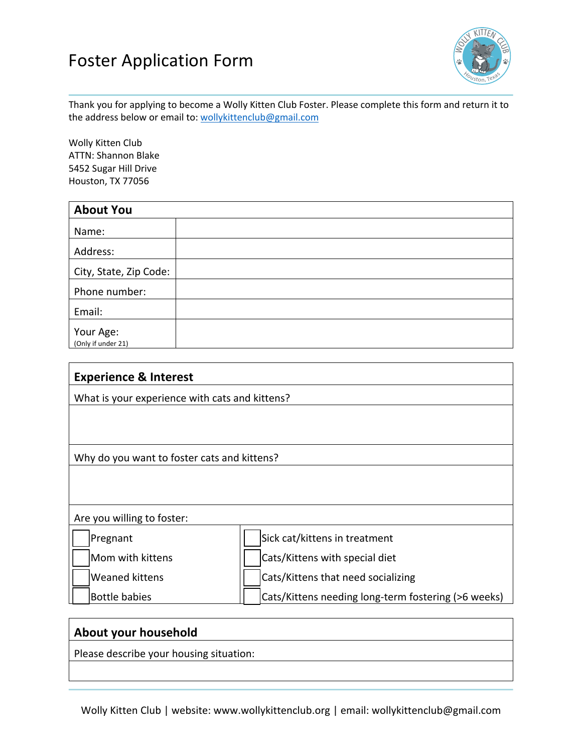## Foster Application Form



Thank you for applying to become a Wolly Kitten Club Foster. Please complete this form and return it to the address below or email to: wollykittenclub@gmail.com

Wolly Kitten Club ATTN: Shannon Blake 5452 Sugar Hill Drive Houston, TX 77056

| <b>About You</b>                |  |
|---------------------------------|--|
| Name:                           |  |
| Address:                        |  |
| City, State, Zip Code:          |  |
| Phone number:                   |  |
| Email:                          |  |
| Your Age:<br>(Only if under 21) |  |

| <b>Experience &amp; Interest</b>               |                                                     |  |
|------------------------------------------------|-----------------------------------------------------|--|
| What is your experience with cats and kittens? |                                                     |  |
|                                                |                                                     |  |
|                                                |                                                     |  |
| Why do you want to foster cats and kittens?    |                                                     |  |
|                                                |                                                     |  |
|                                                |                                                     |  |
| Are you willing to foster:                     |                                                     |  |
| Pregnant                                       | Sick cat/kittens in treatment                       |  |
| Mom with kittens                               | Cats/Kittens with special diet                      |  |
| <b>Weaned kittens</b>                          | Cats/Kittens that need socializing                  |  |
| <b>Bottle babies</b>                           | Cats/Kittens needing long-term fostering (>6 weeks) |  |
|                                                |                                                     |  |

| About your household                    |  |
|-----------------------------------------|--|
| Please describe your housing situation: |  |
|                                         |  |